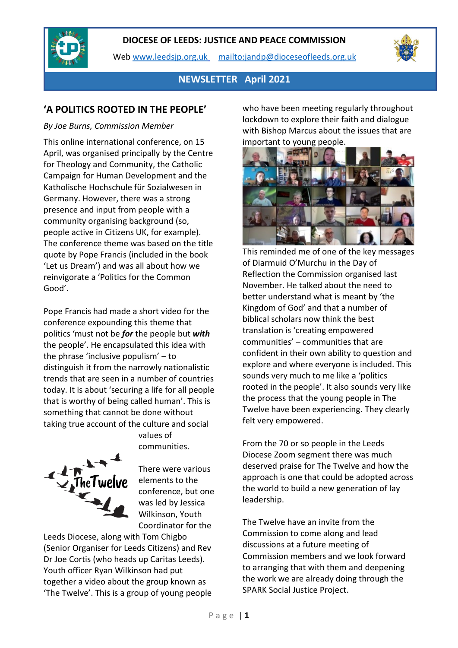

Web [www.leedsjp.org.uk](http://www.leedsjp.org.uk/) <mailto:jandp@dioceseofleeds.org.uk>



### **NEWSLETTER April 2021**

### **'A POLITICS ROOTED IN THE PEOPLE'**

#### *By Joe Burns, Commission Member*

This online international conference, on 15 April, was organised principally by the Centre for Theology and Community, the Catholic Campaign for Human Development and the Katholische Hochschule für Sozialwesen in Germany. However, there was a strong presence and input from people with a community organising background (so, people active in Citizens UK, for example). The conference theme was based on the title quote by Pope Francis (included in the book 'Let us Dream') and was all about how we reinvigorate a 'Politics for the Common Good'.

Pope Francis had made a short video for the conference expounding this theme that politics 'must not be *for* the people but *with* the people'. He encapsulated this idea with the phrase 'inclusive populism' – to distinguish it from the narrowly nationalistic trends that are seen in a number of countries today. It is about 'securing a life for all people that is worthy of being called human'. This is something that cannot be done without taking true account of the culture and social



There were various elements to the conference, but one was led by Jessica Wilkinson, Youth Coordinator for the

values of communities.

Leeds Diocese, along with Tom Chigbo (Senior Organiser for Leeds Citizens) and Rev Dr Joe Cortis (who heads up Caritas Leeds). Youth officer Ryan Wilkinson had put together a video about the group known as 'The Twelve'. This is a group of young people who have been meeting regularly throughout lockdown to explore their faith and dialogue with Bishop Marcus about the issues that are important to young people.



This reminded me of one of the key messages of Diarmuid O'Murchu in the Day of Reflection the Commission organised last November. He talked about the need to better understand what is meant by 'the Kingdom of God' and that a number of biblical scholars now think the best translation is 'creating empowered communities' – communities that are confident in their own ability to question and explore and where everyone is included. This sounds very much to me like a 'politics rooted in the people'. It also sounds very like the process that the young people in The Twelve have been experiencing. They clearly felt very empowered.

From the 70 or so people in the Leeds Diocese Zoom segment there was much deserved praise for The Twelve and how the approach is one that could be adopted across the world to build a new generation of lay leadership.

The Twelve have an invite from the Commission to come along and lead discussions at a future meeting of Commission members and we look forward to arranging that with them and deepening the work we are already doing through the SPARK Social Justice Project.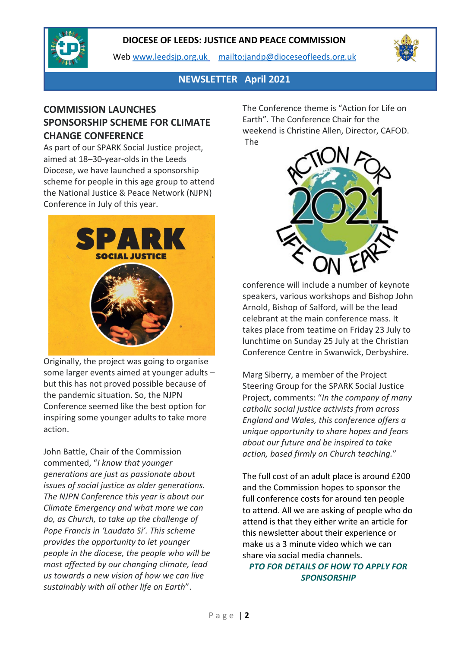

Web [www.leedsjp.org.uk](http://www.leedsjp.org.uk/) <mailto:jandp@dioceseofleeds.org.uk>



## **NEWSLETTER April 2021**

# **COMMISSION LAUNCHES SPONSORSHIP SCHEME FOR CLIMATE CHANGE CONFERENCE**

As part of our SPARK Social Justice project, aimed at 18–30-year-olds in the Leeds Diocese, we have launched a sponsorship scheme for people in this age group to attend the National Justice & Peace Network (NJPN) Conference in July of this year.



Originally, the project was going to organise some larger events aimed at younger adults – but this has not proved possible because of the pandemic situation. So, the NJPN Conference seemed like the best option for inspiring some younger adults to take more action.

John Battle, Chair of the Commission commented, "*I know that younger generations are just as passionate about issues of social justice as older generations. The NJPN Conference this year is about our Climate Emergency and what more we can do, as Church, to take up the challenge of Pope Francis in 'Laudato Si'. This scheme provides the opportunity to let younger people in the diocese, the people who will be most affected by our changing climate, lead us towards a new vision of how we can live sustainably with all other life on Earth*".

The Conference theme is "Action for Life on Earth". The Conference Chair for the weekend is Christine Allen, Director, CAFOD. The



conference will include a number of keynote speakers, various workshops and Bishop John Arnold, Bishop of Salford, will be the lead celebrant at the main conference mass. It takes place from teatime on Friday 23 July to lunchtime on Sunday 25 July at the Christian Conference Centre in Swanwick, Derbyshire.

Marg Siberry, a member of the Project Steering Group for the SPARK Social Justice Project, comments: "*In the company of many catholic social justice activists from across England and Wales, this conference offers a unique opportunity to share hopes and fears about our future and be inspired to take action, based firmly on Church teaching.*"

The full cost of an adult place is around £200 and the Commission hopes to sponsor the full conference costs for around ten people to attend. All we are asking of people who do attend is that they either write an article for this newsletter about their experience or make us a 3 minute video which we can share via social media channels.

*PTO FOR DETAILS OF HOW TO APPLY FOR SPONSORSHIP*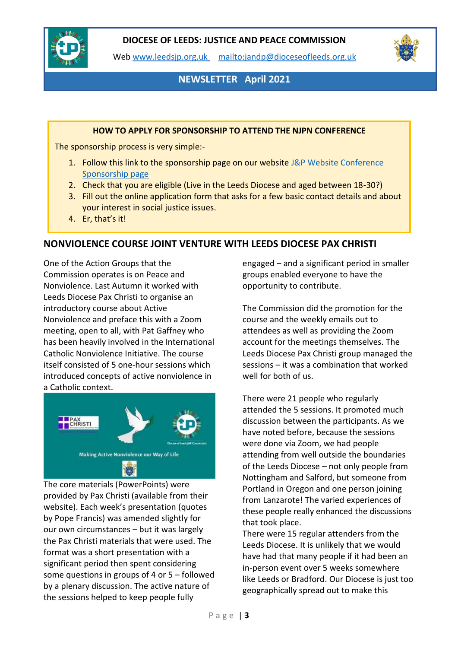

Web [www.leedsjp.org.uk](http://www.leedsjp.org.uk/) <mailto:jandp@dioceseofleeds.org.uk>



# **NEWSLETTER April 2021**

#### **HOW TO APPLY FOR SPONSORSHIP TO ATTEND THE NJPN CONFERENCE**

The sponsorship process is very simple:-

- 1. Follow this link to the sponsorship page on our website J&P Website Conference [Sponsorship page](https://www.leedsjp.org.uk/climate-change-conference-sponsorship/)
- 2. Check that you are eligible (Live in the Leeds Diocese and aged between 18-30?)
- 3. Fill out the online application form that asks for a few basic contact details and about your interest in social justice issues.
- 4. Er, that's it!

#### **NONVIOLENCE COURSE JOINT VENTURE WITH LEEDS DIOCESE PAX CHRISTI**

One of the Action Groups that the Commission operates is on Peace and Nonviolence. Last Autumn it worked with Leeds Diocese Pax Christi to organise an introductory course about Active Nonviolence and preface this with a Zoom meeting, open to all, with Pat Gaffney who has been heavily involved in the International Catholic Nonviolence Initiative. The course itself consisted of 5 one-hour sessions which introduced concepts of active nonviolence in a Catholic context.



The core materials (PowerPoints) were provided by Pax Christi (available from their website). Each week's presentation (quotes by Pope Francis) was amended slightly for our own circumstances – but it was largely the Pax Christi materials that were used. The format was a short presentation with a significant period then spent considering some questions in groups of 4 or 5 – followed by a plenary discussion. The active nature of the sessions helped to keep people fully

engaged – and a significant period in smaller groups enabled everyone to have the opportunity to contribute.

The Commission did the promotion for the course and the weekly emails out to attendees as well as providing the Zoom account for the meetings themselves. The Leeds Diocese Pax Christi group managed the sessions – it was a combination that worked well for both of us.

There were 21 people who regularly attended the 5 sessions. It promoted much discussion between the participants. As we have noted before, because the sessions were done via Zoom, we had people attending from well outside the boundaries of the Leeds Diocese – not only people from Nottingham and Salford, but someone from Portland in Oregon and one person joining from Lanzarote! The varied experiences of these people really enhanced the discussions that took place.

There were 15 regular attenders from the Leeds Diocese. It is unlikely that we would have had that many people if it had been an in-person event over 5 weeks somewhere like Leeds or Bradford. Our Diocese is just too geographically spread out to make this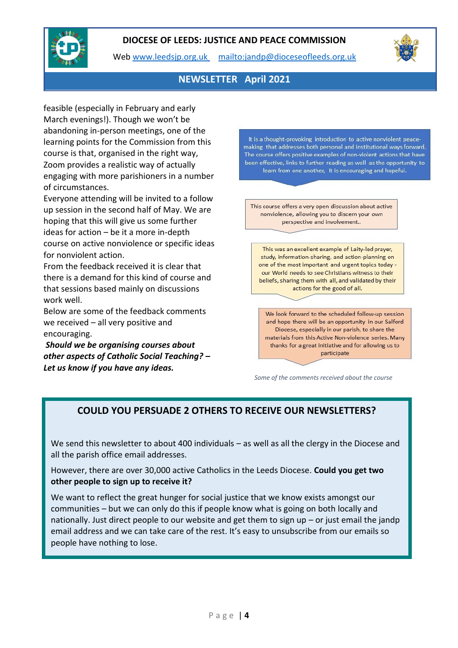

Web [www.leedsjp.org.uk](http://www.leedsjp.org.uk/) <mailto:jandp@dioceseofleeds.org.uk>



# **NEWSLETTER April 2021**

feasible (especially in February and early March evenings!). Though we won't be abandoning in-person meetings, one of the learning points for the Commission from this course is that, organised in the right way, Zoom provides a realistic way of actually engaging with more parishioners in a number of circumstances.

Everyone attending will be invited to a follow up session in the second half of May. We are hoping that this will give us some further ideas for action – be it a more in-depth course on active nonviolence or specific ideas for nonviolent action.

From the feedback received it is clear that there is a demand for this kind of course and that sessions based mainly on discussions work well.

Below are some of the feedback comments we received – all very positive and encouraging.

*Should we be organising courses about other aspects of Catholic Social Teaching? – Let us know if you have any ideas.*

It is a thought-provoking introduction to active nonviolent peacemaking that addresses both personal and institutional ways forward. The course offers positive examples of non-violent actions that have been effective, links to further reading as well as the opportunity to learn from one another, It is encouraging and hopeful.

This course offers a very open discussion about active nonviolence, allowing you to discern your own perspective and involvement..

This was an excellent example of Laity-led prayer, study, information-sharing, and action-planning on one of the most important and urgent topics today our World needs to see Christians witness to their beliefs, sharing them with all, and validated by their actions for the good of all.

We look forward to the scheduled follow-up session and hope there will be an opportunity in our Salford Diocese, especially in our parish, to share the materials from this Active Non-violence series. Many thanks for a great initiative and for allowing us to participate

*Some of the comments received about the course*

## **COULD YOU PERSUADE 2 OTHERS TO RECEIVE OUR NEWSLETTERS?**

We send this newsletter to about 400 individuals – as well as all the clergy in the Diocese and all the parish office email addresses.

However, there are over 30,000 active Catholics in the Leeds Diocese. **Could you get two other people to sign up to receive it?**

We want to reflect the great hunger for social justice that we know exists amongst our communities – but we can only do this if people know what is going on both locally and nationally. Just direct people to our website and get them to sign up – or just email the jandp email address and we can take care of the rest. It's easy to unsubscribe from our emails so people have nothing to lose.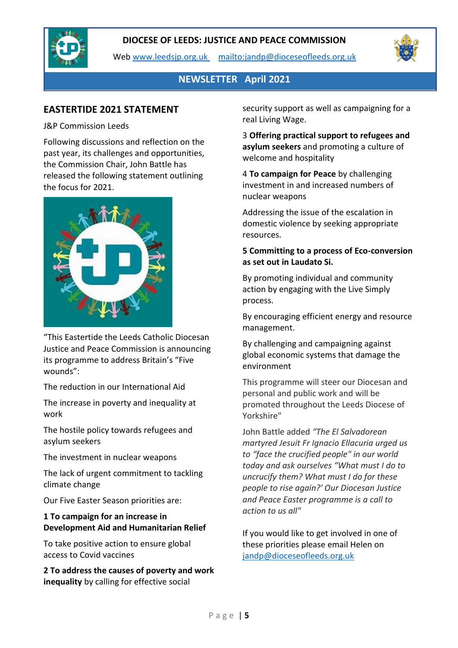

Web [www.leedsjp.org.uk](http://www.leedsjp.org.uk/) <mailto:jandp@dioceseofleeds.org.uk>



## **NEWSLETTER April 2021**

## **EASTERTIDE 2021 STATEMENT**

#### J&P Commission Leeds

Following discussions and reflection on the past year, its challenges and opportunities, the Commission Chair, John Battle has released the following statement outlining the focus for 2021.



"This Eastertide the Leeds Catholic Diocesan Justice and Peace Commission is announcing its programme to address Britain's "Five wounds":

The reduction in our International Aid

The increase in poverty and inequality at work

The hostile policy towards refugees and asylum seekers

The investment in nuclear weapons

The lack of urgent commitment to tackling climate change

Our Five Easter Season priorities are:

### **1 To campaign for an increase in Development Aid and Humanitarian Relief**

To take positive action to ensure global access to Covid vaccines

**2 To address the causes of poverty and work inequality** by calling for effective social

security support as well as campaigning for a real Living Wage.

3 **Offering practical support to refugees and asylum seekers** and promoting a culture of welcome and hospitality

4 **To campaign for Peace** by challenging investment in and increased numbers of nuclear weapons

Addressing the issue of the escalation in domestic violence by seeking appropriate resources.

### **5 Committing to a process of Eco-conversion as set out in Laudato Si.**

By promoting individual and community action by engaging with the Live Simply process.

By encouraging efficient energy and resource management.

By challenging and campaigning against global economic systems that damage the environment

This programme will steer our Diocesan and personal and public work and will be promoted throughout the Leeds Diocese of Yorkshire"

John Battle added *"The El Salvadorean martyred Jesuit Fr Ignacio Ellacuria urged us to "face the crucified people" in our world today and ask ourselves "What must I do to uncrucify them? What must I do for these people to rise again?' Our Diocesan Justice and Peace Easter programme is a call to action to us all"*

If you would like to get involved in one of these priorities please email Helen on [jandp@dioceseofleeds.org.uk](mailto:jandp@dioceseofleeds.org.uk)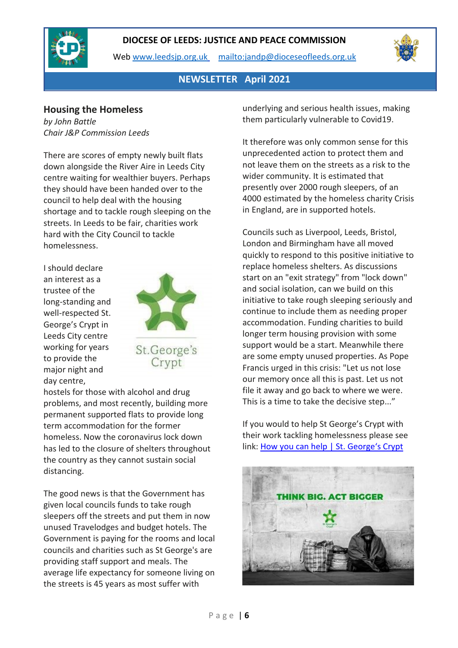

Web [www.leedsjp.org.uk](http://www.leedsjp.org.uk/) <mailto:jandp@dioceseofleeds.org.uk>



### **NEWSLETTER April 2021**

### **Housing the Homeless**

*by John Battle Chair J&P Commission Leeds*

There are scores of empty newly built flats down alongside the River Aire in Leeds City centre waiting for wealthier buyers. Perhaps they should have been handed over to the council to help deal with the housing shortage and to tackle rough sleeping on the streets. In Leeds to be fair, charities work hard with the City Council to tackle homelessness.

I should declare an interest as a trustee of the long-standing and well-respected St. George's Crypt in Leeds City centre working for years to provide the major night and day centre,



hostels for those with alcohol and drug problems, and most recently, building more permanent supported flats to provide long term accommodation for the former homeless. Now the coronavirus lock down has led to the closure of shelters throughout the country as they cannot sustain social distancing.

The good news is that the Government has given local councils funds to take rough sleepers off the streets and put them in now unused Travelodges and budget hotels. The Government is paying for the rooms and local councils and charities such as St George's are providing staff support and meals. The average life expectancy for someone living on the streets is 45 years as most suffer with

underlying and serious health issues, making them particularly vulnerable to Covid19.

It therefore was only common sense for this unprecedented action to protect them and not leave them on the streets as a risk to the wider community. It is estimated that presently over 2000 rough sleepers, of an 4000 estimated by the homeless charity Crisis in England, are in supported hotels.

Councils such as Liverpool, Leeds, Bristol, London and Birmingham have all moved quickly to respond to this positive initiative to replace homeless shelters. As discussions start on an "exit strategy" from "lock down" and social isolation, can we build on this initiative to take rough sleeping seriously and continue to include them as needing proper accommodation. Funding charities to build longer term housing provision with some support would be a start. Meanwhile there are some empty unused properties. As Pope Francis urged in this crisis: "Let us not lose our memory once all this is past. Let us not file it away and go back to where we were. This is a time to take the decisive step..."

If you would to help St George's Crypt with their work tackling homelessness please see link: [How you can help | St. George's Crypt](https://www.stgeorgescrypt.org.uk/how-you-can-help)

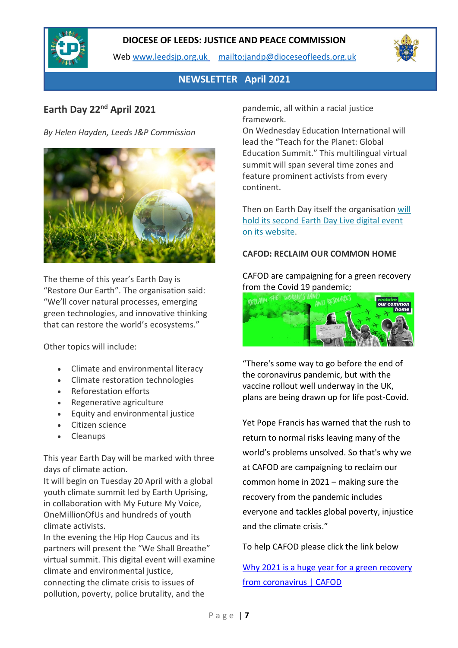

Web [www.leedsjp.org.uk](http://www.leedsjp.org.uk/) <mailto:jandp@dioceseofleeds.org.uk>



# **NEWSLETTER April 2021**

# **Earth Day 22nd April 2021**

*By Helen Hayden, Leeds J&P Commission*



The theme of this year's Earth Day is "Restore Our Earth". The organisation said: "We'll cover natural processes, emerging green technologies, and innovative thinking that can restore the world's ecosystems."

Other topics will include:

- Climate and environmental literacy
- Climate restoration technologies
- Reforestation efforts
- Regenerative agriculture
- Equity and environmental justice
- Citizen science
- Cleanups

This year Earth Day will be marked with three days of climate action.

It will begin on Tuesday 20 April with a global youth climate summit led by Earth Uprising, in collaboration with My Future My Voice, OneMillionOfUs and hundreds of youth climate activists.

In the evening the Hip Hop Caucus and its partners will present the "We Shall Breathe" virtual summit. This digital event will examine climate and environmental justice, connecting the climate crisis to issues of pollution, poverty, police brutality, and the

pandemic, all within a racial justice framework.

On Wednesday Education International will lead the "Teach for the Planet: Global Education Summit." This multilingual virtual summit will span several time zones and feature prominent activists from every continent.

Then on Earth Day itself the organisation [will](https://www.earthday.org/earth-day-2021/)  [hold its second Earth Day Live digital event](https://www.earthday.org/earth-day-2021/)  [on its website.](https://www.earthday.org/earth-day-2021/)

### **CAFOD: RECLAIM OUR COMMON HOME**

CAFOD are campaigning for a green recovery from the Covid 19 pandemic;



"There's some way to go before the end of the coronavirus pandemic, but with the vaccine rollout well underway in the UK, plans are being drawn up for life post-Covid.

Yet Pope Francis has warned that the rush to return to normal risks leaving many of the world's problems unsolved. So that's why we at CAFOD are campaigning to reclaim our common home in 2021 – making sure the recovery from the pandemic includes everyone and tackles global poverty, injustice and the climate crisis."

#### To help CAFOD please click the link below

[Why 2021 is a huge year for a green recovery](https://cafod.org.uk/News/Campaigning-news/Global-green-recovery-2021)  [from coronavirus | CAFOD](https://cafod.org.uk/News/Campaigning-news/Global-green-recovery-2021)